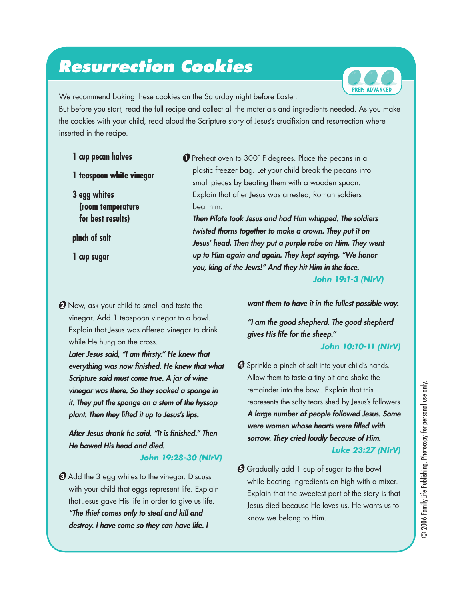## *Resurrection Cookies*



We recommend baking these cookies on the Saturday night before Easter.

But before you start, read the full recipe and collect all the materials and ingredients needed. As you make the cookies with your child, read aloud the Scripture story of Jesus's crucifixion and resurrection where inserted in the recipe.

- **1 cup pecan halves**
- **1 teaspoon white vinegar**
- **3 egg whites (room temperature for best results)**

**pinch of salt**

**1 cup sugar**

● Preheat oven to 300° F degrees. Place the pecans in a plastic freezer bag. Let your child break the pecans into small pieces by beating them with a wooden spoon. Explain that after Jesus was arrested, Roman soldiers beat him.

*Then Pilate took Jesus and had Him whipped. The soldiers twisted thorns together to make a crown. They put it on Jesus' head. Then they put a purple robe on Him. They went up to Him again and again. They kept saying, "We honor you, king of the Jews!" And they hit Him in the face.*

*John 19:1-3 (NIrV)*

**2** Now, ask your child to smell and taste the vinegar. Add 1 teaspoon vinegar to a bowl. Explain that Jesus was offered vinegar to drink while He hung on the cross.

*Later Jesus said, "I am thirsty." He knew that everything was now finished. He knew that what Scripture said must come true. A jar of wine vinegar was there. So they soaked a sponge in it. They put the sponge on a stem of the hyssop plant. Then they lifted it up to Jesus's lips.*

*After Jesus drank he said, "It is finished." Then He bowed His head and died.*

### *John 19:28-30 (NIrV)*

 $\Theta$  Add the 3 egg whites to the vinegar. Discuss with your child that eggs represent life. Explain that Jesus gave His life in order to give us life. *"The thief comes only to steal and kill and destroy. I have come so they can have life. I* 

*want them to have it in the fullest possible way.* 

*"I am the good shepherd. The good shepherd gives His life for the sheep."*

### *John 10:10-11 (NIrV)*

- $\boldsymbol{C}$  Sprinkle a pinch of salt into your child's hands. Allow them to taste a tiny bit and shake the remainder into the bowl. Explain that this represents the salty tears shed by Jesus's followers. *A large number of people followed Jesus. Some were women whose hearts were filled with sorrow. They cried loudly because of Him. Luke 23:27 (NIrV)*
- $\bm{\Theta}$  Gradually add 1 cup of sugar to the bowl while beating ingredients on high with a mixer. Explain that the sweetest part of the story is that Jesus died because He loves us. He wants us to know we belong to Him.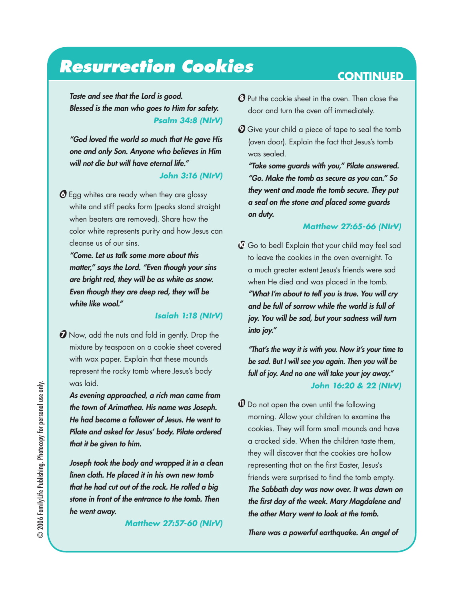## **Resurrection Cookies CONTINUED**

*Taste and see that the Lord is good. Blessed is the man who goes to Him for safety. Psalm 34:8 (NIrV)*

*"God loved the world so much that He gave His one and only Son. Anyone who believes in Him will not die but will have eternal life."*

### *John 3:16 (NIrV)*

G Egg whites are ready when they are glossy white and stiff peaks form (peaks stand straight when beaters are removed). Share how the color white represents purity and how Jesus can cleanse us of our sins.

*"Come. Let us talk some more about this matter," says the Lord. "Even though your sins are bright red, they will be as white as snow. Even though they are deep red, they will be white like wool."*

#### *Isaiah 1:18 (NIrV)*

**O** Now, add the nuts and fold in gently. Drop the mixture by teaspoon on a cookie sheet covered with wax paper. Explain that these mounds represent the rocky tomb where Jesus's body was laid.

*As evening approached, a rich man came from the town of Arimathea. His name was Joseph. He had become a follower of Jesus. He went to Pilate and asked for Jesus' body. Pilate ordered that it be given to him.* 

*Joseph took the body and wrapped it in a clean linen cloth. He placed it in his own new tomb that he had cut out of the rock. He rolled a big stone in front of the entrance to the tomb. Then he went away.* 

*Matthew 27:57-60 (NIrV)*

- $\Theta$  Put the cookie sheet in the oven. Then close the door and turn the oven off immediately.
- $\mathcal O$  Give your child a piece of tape to seal the tomb (oven door). Explain the fact that Jesus's tomb was sealed.

*"Take some guards with you," Pilate answered. "Go. Make the tomb as secure as you can." So they went and made the tomb secure. They put a seal on the stone and placed some guards on duty.*

#### *Matthew 27:65-66 (NIrV)*

 $\mathbb G$  Go to bed! Explain that your child may feel sad to leave the cookies in the oven overnight. To a much greater extent Jesus's friends were sad when He died and was placed in the tomb. *"What I'm about to tell you is true. You will cry and be full of sorrow while the world is full of joy. You will be sad, but your sadness will turn into joy."* 

*"That's the way it is with you. Now it's your time to be sad. But I will see you again. Then you will be full of joy. And no one will take your joy away." John 16:20 & 22 (NIrV)*

 $\bm{\mathsf{U}}$  Do not open the oven until the following morning. Allow your children to examine the cookies. They will form small mounds and have a cracked side. When the children taste them, they will discover that the cookies are hollow representing that on the first Easter, Jesus's friends were surprised to find the tomb empty. *The Sabbath day was now over. It was dawn on the first day of the week. Mary Magdalene and the other Mary went to look at the tomb.* 

*There was a powerful earthquake. An angel of*